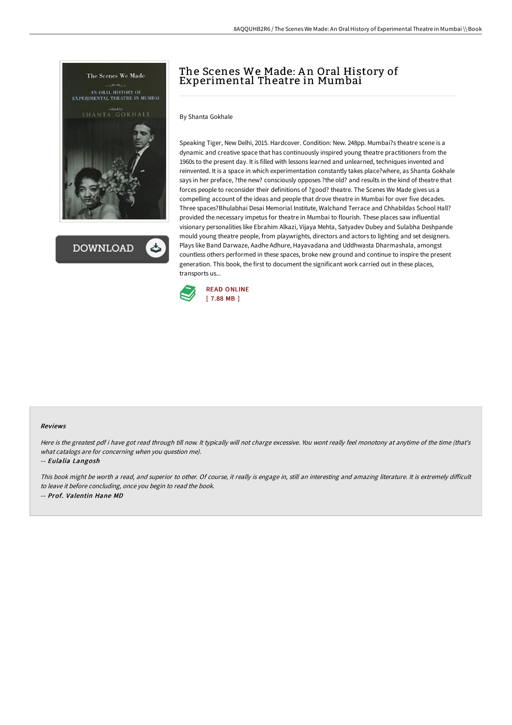

**DOWNLOAD** 

# The Scenes We Made: An Oral History of Experimental Theatre in Mumbai

By Shanta Gokhale

Speaking Tiger, New Delhi, 2015. Hardcover. Condition: New. 248pp. Mumbai?s theatre scene is a dynamic and creative space that has continuously inspired young theatre practitioners from the 1960s to the present day. It is filled with lessons learned and unlearned, techniques invented and reinvented. It is a space in which experimentation constantly takes place?where, as Shanta Gokhale says in her preface, ?the new? consciously opposes ?the old? and results in the kind of theatre that forces people to reconsider their definitions of ?good? theatre. The Scenes We Made gives us a compelling account of the ideas and people that drove theatre in Mumbai for over five decades. Three spaces?Bhulabhai Desai Memorial Institute, Walchand Terrace and Chhabildas School Hall? provided the necessary impetus for theatre in Mumbai to flourish. These places saw influential visionary personalities like Ebrahim Alkazi, Vijaya Mehta, Satyadev Dubey and Sulabha Deshpande mould young theatre people, from playwrights, directors and actors to lighting and set designers. Plays like Band Darwaze, Aadhe Adhure, Hayavadana and Uddhwasta Dharmashala, amongst countless others performed in these spaces, broke new ground and continue to inspire the present generation. This book, the first to document the significant work carried out in these places, transports us...



#### Reviews

Here is the greatest pdf i have got read through till now. It typically will not charge excessive. You wont really feel monotony at anytime of the time (that's what catalogs are for concerning when you question me).

-- Eulalia Langosh

This book might be worth <sup>a</sup> read, and superior to other. Of course, it really is engage in, still an interesting and amazing literature. It is extremely diFicult to leave it before concluding, once you begin to read the book. -- Prof. Valentin Hane MD